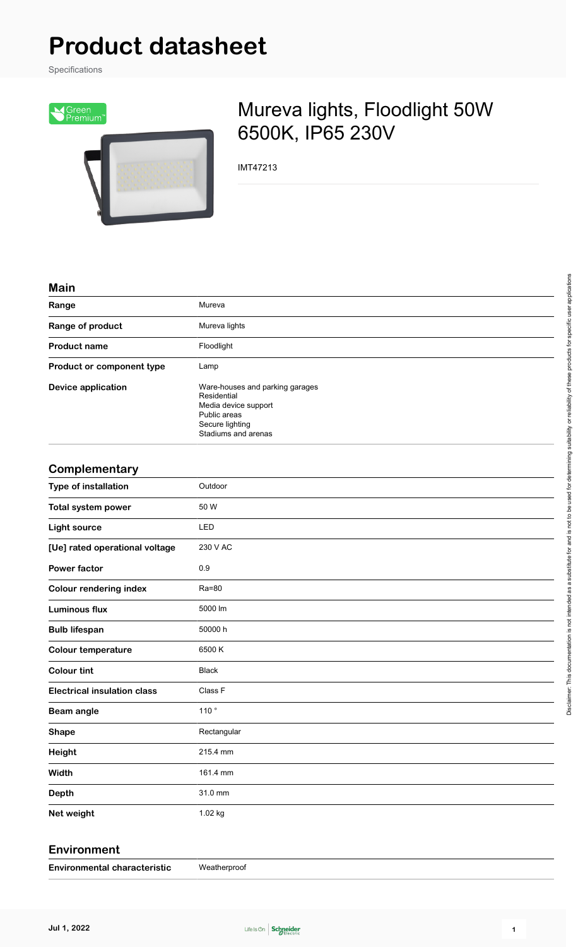# **Product datasheet**

Specifications



## Mureva lights, Floodlight 50W 6500K, IP65 230V

IMT47213

| Mar | ı |
|-----|---|
|     |   |
|     |   |

| Range                              | Mureva                                                                                                                           |
|------------------------------------|----------------------------------------------------------------------------------------------------------------------------------|
| Range of product                   | Mureva lights                                                                                                                    |
| <b>Product name</b>                | Floodlight                                                                                                                       |
| Product or component type          | Lamp                                                                                                                             |
| <b>Device application</b>          | Ware-houses and parking garages<br>Residential<br>Media device support<br>Public areas<br>Secure lighting<br>Stadiums and arenas |
| Complementary                      |                                                                                                                                  |
| Type of installation               | Outdoor                                                                                                                          |
| Total system power                 | 50 W                                                                                                                             |
| <b>Light source</b>                | LED                                                                                                                              |
| [Ue] rated operational voltage     | 230 V AC                                                                                                                         |
| <b>Power factor</b>                | 0.9                                                                                                                              |
| <b>Colour rendering index</b>      | Ra=80                                                                                                                            |
| <b>Luminous flux</b>               | 5000 lm                                                                                                                          |
| <b>Bulb lifespan</b>               | 50000 h                                                                                                                          |
| <b>Colour temperature</b>          | 6500K                                                                                                                            |
| <b>Colour tint</b>                 | <b>Black</b>                                                                                                                     |
| <b>Electrical insulation class</b> | Class F                                                                                                                          |
| Beam angle                         | 110 $^{\circ}$                                                                                                                   |
| <b>Shape</b>                       | Rectangular                                                                                                                      |
| Height                             | 215.4 mm                                                                                                                         |
| Width                              | 161.4 mm                                                                                                                         |
| <b>Depth</b>                       | 31.0 mm                                                                                                                          |
| Net weight                         | 1.02 kg                                                                                                                          |
|                                    |                                                                                                                                  |

#### **Environment**

| Weatherproof<br><b>Environmental characteristic</b> |
|-----------------------------------------------------|
|                                                     |